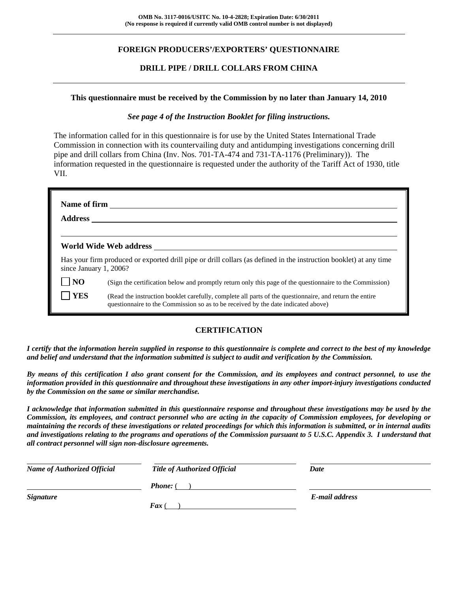## **FOREIGN PRODUCERS'/EXPORTERS' QUESTIONNAIRE**

## **DRILL PIPE / DRILL COLLARS FROM CHINA**

#### **This questionnaire must be received by the Commission by no later than January 14, 2010**

#### *See page 4 of the Instruction Booklet for filing instructions.*

The information called for in this questionnaire is for use by the United States International Trade Commission in connection with its countervailing duty and antidumping investigations concerning drill pipe and drill collars from China (Inv. Nos. 701-TA-474 and 731-TA-1176 (Preliminary)). The information requested in the questionnaire is requested under the authority of the Tariff Act of 1930, title VII.

| <b>Address</b>         | Name of firm <u>_________________________</u>                                                                                                                                                |
|------------------------|----------------------------------------------------------------------------------------------------------------------------------------------------------------------------------------------|
|                        | World Wide Web address                                                                                                                                                                       |
| since January 1, 2006? | Has your firm produced or exported drill pipe or drill collars (as defined in the instruction booklet) at any time                                                                           |
| <b>NO</b>              | (Sign the certification below and promptly return only this page of the questionnaire to the Commission)                                                                                     |
| <b>YES</b>             | (Read the instruction booklet carefully, complete all parts of the questionnaire, and return the entire<br>questionnaire to the Commission so as to be received by the date indicated above) |

## **CERTIFICATION**

*I certify that the information herein supplied in response to this questionnaire is complete and correct to the best of my knowledge and belief and understand that the information submitted is subject to audit and verification by the Commission.* 

*By means of this certification I also grant consent for the Commission, and its employees and contract personnel, to use the information provided in this questionnaire and throughout these investigations in any other import-injury investigations conducted by the Commission on the same or similar merchandise.* 

*I acknowledge that information submitted in this questionnaire response and throughout these investigations may be used by the Commission, its employees, and contract personnel who are acting in the capacity of Commission employees, for developing or maintaining the records of these investigations or related proceedings for which this information is submitted, or in internal audits and investigations relating to the programs and operations of the Commission pursuant to 5 U.S.C. Appendix 3. I understand that all contract personnel will sign non-disclosure agreements.* 

| <b>Name of Authorized Official</b> | <b>Title of Authorized Official</b> | Date           |
|------------------------------------|-------------------------------------|----------------|
|                                    | <b>Phone:</b> (                     |                |
| <b>Signature</b>                   |                                     | E-mail address |
|                                    | <b>Fax</b> (                        |                |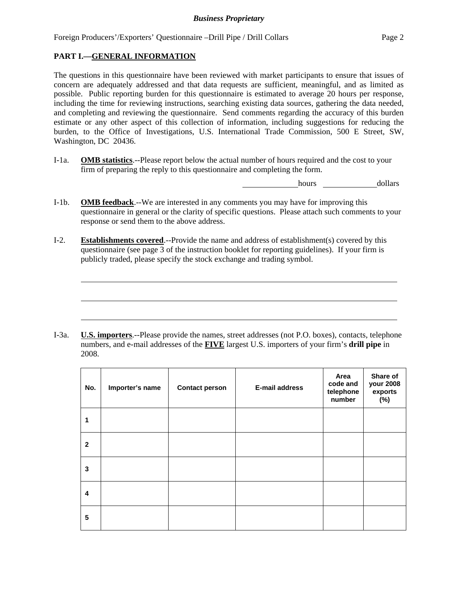## **PART I.—GENERAL INFORMATION**

 $\overline{a}$ 

 $\overline{a}$ 

 $\overline{a}$ 

The questions in this questionnaire have been reviewed with market participants to ensure that issues of concern are adequately addressed and that data requests are sufficient, meaningful, and as limited as possible. Public reporting burden for this questionnaire is estimated to average 20 hours per response, including the time for reviewing instructions, searching existing data sources, gathering the data needed, and completing and reviewing the questionnaire. Send comments regarding the accuracy of this burden estimate or any other aspect of this collection of information, including suggestions for reducing the burden, to the Office of Investigations, U.S. International Trade Commission, 500 E Street, SW, Washington, DC 20436.

I-1a. **OMB statistics**.--Please report below the actual number of hours required and the cost to your firm of preparing the reply to this questionnaire and completing the form.

hours dollars

- I-1b. **OMB feedback**.--We are interested in any comments you may have for improving this questionnaire in general or the clarity of specific questions. Please attach such comments to your response or send them to the above address.
- I-2. **Establishments covered**.--Provide the name and address of establishment(s) covered by this questionnaire (see page 3 of the instruction booklet for reporting guidelines). If your firm is publicly traded, please specify the stock exchange and trading symbol.

I-3a. **U.S. importers**.--Please provide the names, street addresses (not P.O. boxes), contacts, telephone numbers, and e-mail addresses of the **FIVE** largest U.S. importers of your firm's **drill pipe** in 2008.

| No.          | Importer's name | <b>Contact person</b> | E-mail address | Area<br>code and<br>telephone<br>number | Share of<br>your 2008<br>exports<br>(%) |
|--------------|-----------------|-----------------------|----------------|-----------------------------------------|-----------------------------------------|
| 1            |                 |                       |                |                                         |                                         |
| $\mathbf{2}$ |                 |                       |                |                                         |                                         |
| 3            |                 |                       |                |                                         |                                         |
| 4            |                 |                       |                |                                         |                                         |
| 5            |                 |                       |                |                                         |                                         |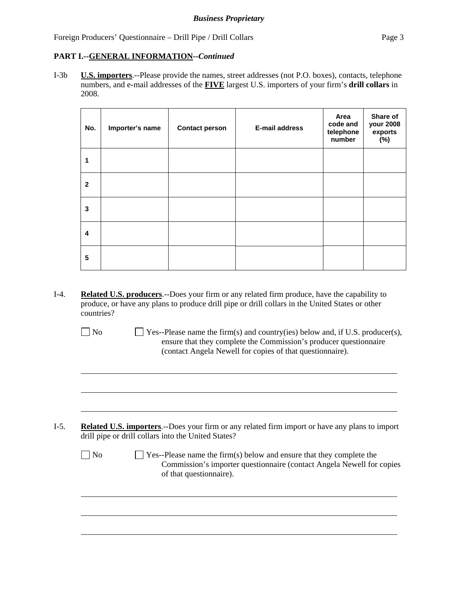## **PART I.--GENERAL INFORMATION***--Continued*

I-3b **U.S. importers**.--Please provide the names, street addresses (not P.O. boxes), contacts, telephone numbers, and e-mail addresses of the **FIVE** largest U.S. importers of your firm's **drill collars** in 2008.

| No.                     | Importer's name | <b>Contact person</b> | <b>E-mail address</b> | Area<br>code and<br>telephone<br>number | Share of<br>your 2008<br>exports<br>(%) |
|-------------------------|-----------------|-----------------------|-----------------------|-----------------------------------------|-----------------------------------------|
| 1                       |                 |                       |                       |                                         |                                         |
| $\mathbf{2}$            |                 |                       |                       |                                         |                                         |
| 3                       |                 |                       |                       |                                         |                                         |
| $\overline{\mathbf{4}}$ |                 |                       |                       |                                         |                                         |
| 5                       |                 |                       |                       |                                         |                                         |

I-4. **Related U.S. producers**.--Does your firm or any related firm produce, have the capability to produce, or have any plans to produce drill pipe or drill collars in the United States or other countries?

 $\overline{a}$ 

 $\overline{a}$ 

 $\overline{a}$ 

 $\overline{a}$ 

 $\overline{a}$ 

 $\overline{a}$ 

 $\Box$  No  $\Box$  Yes--Please name the firm(s) and country(ies) below and, if U.S. producer(s), ensure that they complete the Commission's producer questionnaire (contact Angela Newell for copies of that questionnaire).

- I-5. **Related U.S. importers**.--Does your firm or any related firm import or have any plans to import drill pipe or drill collars into the United States?
	- $\Box$  No  $\Box$  Yes--Please name the firm(s) below and ensure that they complete the Commission's importer questionnaire (contact Angela Newell for copies of that questionnaire).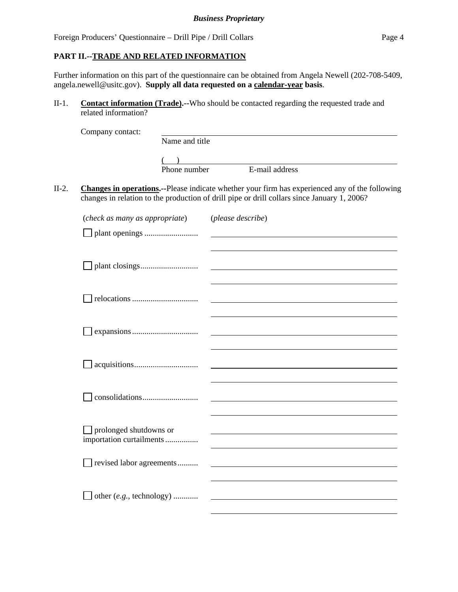### **PART II.--TRADE AND RELATED INFORMATION**

Further information on this part of the questionnaire can be obtained from Angela Newell (202-708-5409, angela.newell@usitc.gov). **Supply all data requested on a calendar-year basis**.

II-1. **Contact information (Trade).--**Who should be contacted regarding the requested trade and related information?

|         | Company contact:                                   |                |                                                                                                                                                                                                       |
|---------|----------------------------------------------------|----------------|-------------------------------------------------------------------------------------------------------------------------------------------------------------------------------------------------------|
|         |                                                    | Name and title |                                                                                                                                                                                                       |
|         |                                                    |                |                                                                                                                                                                                                       |
|         |                                                    | Phone number   | E-mail address                                                                                                                                                                                        |
| $II-2.$ |                                                    |                | <b>Changes in operations.</b> --Please indicate whether your firm has experienced any of the following<br>changes in relation to the production of drill pipe or drill collars since January 1, 2006? |
|         | (check as many as appropriate)                     |                | (please describe)                                                                                                                                                                                     |
|         |                                                    |                |                                                                                                                                                                                                       |
|         |                                                    |                |                                                                                                                                                                                                       |
|         |                                                    |                |                                                                                                                                                                                                       |
|         |                                                    |                |                                                                                                                                                                                                       |
|         |                                                    |                |                                                                                                                                                                                                       |
|         |                                                    |                |                                                                                                                                                                                                       |
|         | prolonged shutdowns or<br>importation curtailments |                |                                                                                                                                                                                                       |
|         | revised labor agreements                           |                |                                                                                                                                                                                                       |
|         | other $(e.g., \text{ technology})$                 |                |                                                                                                                                                                                                       |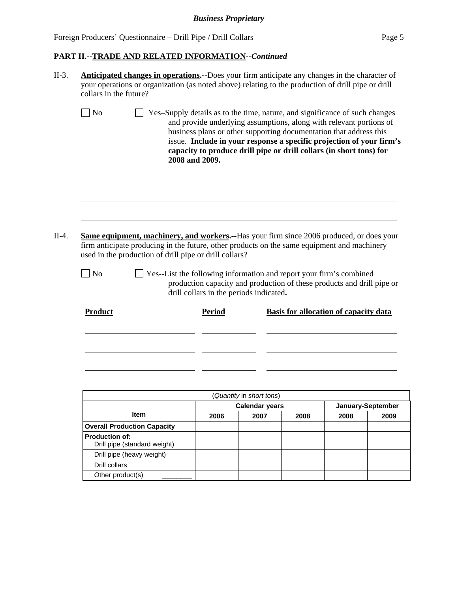## *Business Proprietary*

Foreign Producers' Questionnaire – Drill Pipe / Drill Collars Page 5

Other product(s)

## **PART II.--TRADE AND RELATED INFORMATION***--Continued*

| collars in the future?                                                                                                                                                                                                                                                       | Anticipated changes in operations.--Does your firm anticipate any changes in the character of<br>your operations or organization (as noted above) relating to the production of drill pipe or drill                                                                                                                                                                                       |                                                   |                                              |                   |      |  |
|------------------------------------------------------------------------------------------------------------------------------------------------------------------------------------------------------------------------------------------------------------------------------|-------------------------------------------------------------------------------------------------------------------------------------------------------------------------------------------------------------------------------------------------------------------------------------------------------------------------------------------------------------------------------------------|---------------------------------------------------|----------------------------------------------|-------------------|------|--|
| $\vert$ No                                                                                                                                                                                                                                                                   | Yes-Supply details as to the time, nature, and significance of such changes<br>and provide underlying assumptions, along with relevant portions of<br>business plans or other supporting documentation that address this<br>issue. Include in your response a specific projection of your firm's<br>capacity to produce drill pipe or drill collars (in short tons) for<br>2008 and 2009. |                                                   |                                              |                   |      |  |
| <b>Same equipment, machinery, and workers.</b> --Has your firm since 2006 produced, or does your<br>firm anticipate producing in the future, other products on the same equipment and machinery<br>used in the production of drill pipe or drill collars?<br>  No<br>Product | Yes--List the following information and report your firm's combined<br>production capacity and production of these products and drill pipe or<br>drill collars in the periods indicated.<br>Period                                                                                                                                                                                        |                                                   | <b>Basis for allocation of capacity data</b> |                   |      |  |
|                                                                                                                                                                                                                                                                              |                                                                                                                                                                                                                                                                                                                                                                                           | (Quantity in short tons)<br><b>Calendar years</b> |                                              | January-September |      |  |
| Item                                                                                                                                                                                                                                                                         | 2006                                                                                                                                                                                                                                                                                                                                                                                      | 2007                                              | 2008                                         | 2008              | 2009 |  |
| <b>Overall Production Capacity</b>                                                                                                                                                                                                                                           |                                                                                                                                                                                                                                                                                                                                                                                           |                                                   |                                              |                   |      |  |
| <b>Production of:</b>                                                                                                                                                                                                                                                        |                                                                                                                                                                                                                                                                                                                                                                                           |                                                   |                                              |                   |      |  |
| Drill pipe (standard weight)                                                                                                                                                                                                                                                 |                                                                                                                                                                                                                                                                                                                                                                                           |                                                   |                                              |                   |      |  |
| Drill pipe (heavy weight)                                                                                                                                                                                                                                                    |                                                                                                                                                                                                                                                                                                                                                                                           |                                                   |                                              |                   |      |  |
| Drill collars                                                                                                                                                                                                                                                                |                                                                                                                                                                                                                                                                                                                                                                                           |                                                   |                                              |                   |      |  |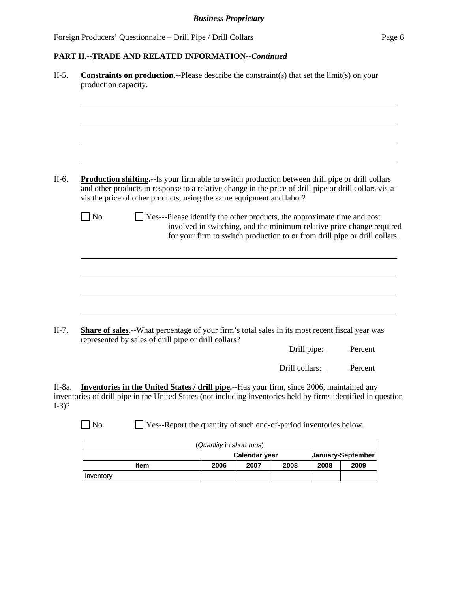## **PART II.--TRADE AND RELATED INFORMATION***--Continued*

| $II-5.$           | <b>Constraints on production.</b> --Please describe the constraint(s) that set the $limit(s)$ on your<br>production capacity.                                                                                                                                                      |
|-------------------|------------------------------------------------------------------------------------------------------------------------------------------------------------------------------------------------------------------------------------------------------------------------------------|
|                   |                                                                                                                                                                                                                                                                                    |
| $II-6.$           | Production shifting.--Is your firm able to switch production between drill pipe or drill collars<br>and other products in response to a relative change in the price of drill pipe or drill collars vis-a-<br>vis the price of other products, using the same equipment and labor? |
|                   | $\log$<br>Yes---Please identify the other products, the approximate time and cost<br>involved in switching, and the minimum relative price change required<br>for your firm to switch production to or from drill pipe or drill collars.                                           |
|                   |                                                                                                                                                                                                                                                                                    |
|                   |                                                                                                                                                                                                                                                                                    |
| $II-7.$           | Share of sales.--What percentage of your firm's total sales in its most recent fiscal year was<br>represented by sales of drill pipe or drill collars?                                                                                                                             |
|                   | Drill pipe: <u>_____</u> Percent                                                                                                                                                                                                                                                   |
|                   | Drill collars: Percent                                                                                                                                                                                                                                                             |
| II-8a.<br>$I-3$ ? | Inventories in the United States / drill pipe.--Has your firm, since 2006, maintained any<br>inventories of drill pipe in the United States (not including inventories held by firms identified in question                                                                        |
|                   | $\log$<br>$\Box$ Yes--Report the quantity of such end-of-period inventories below.                                                                                                                                                                                                 |
|                   | $\mathbf{r}$ and $\mathbf{r}$ and $\mathbf{r}$ and $\mathbf{r}$                                                                                                                                                                                                                    |

| (Quantity in short tons) |                                      |  |  |  |  |  |  |
|--------------------------|--------------------------------------|--|--|--|--|--|--|
|                          | Calendar year<br>January-September   |  |  |  |  |  |  |
| Item                     | 2008<br>2006<br>2009<br>2007<br>2008 |  |  |  |  |  |  |
| Inventory                |                                      |  |  |  |  |  |  |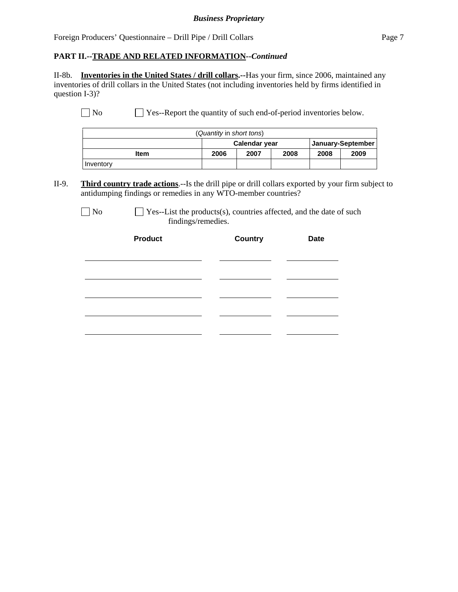#### *Business Proprietary*

Foreign Producers' Questionnaire – Drill Pipe / Drill Collars Page 7

#### **PART II.--TRADE AND RELATED INFORMATION***--Continued*

II-8b. **Inventories in the United States / drill collars.--**Has your firm, since 2006, maintained any inventories of drill collars in the United States (not including inventories held by firms identified in question I-3)?

No Ses--Report the quantity of such end-of-period inventories below.

| (Quantity in short tons)           |                                      |  |  |  |  |  |
|------------------------------------|--------------------------------------|--|--|--|--|--|
| January-September<br>Calendar year |                                      |  |  |  |  |  |
| <b>Item</b>                        | 2008<br>2009<br>2006<br>2007<br>2008 |  |  |  |  |  |
| Inventory                          |                                      |  |  |  |  |  |

II-9. **Third country trade actions**.--Is the drill pipe or drill collars exported by your firm subject to antidumping findings or remedies in any WTO-member countries?

 $\Box$  No  $\Box$  Yes--List the products(s), countries affected, and the date of such findings/remedies.

| <b>Product</b> | <b>Country</b> | <b>Date</b> |
|----------------|----------------|-------------|
|                |                |             |
|                |                |             |
|                |                |             |
|                |                |             |
|                |                |             |
|                |                |             |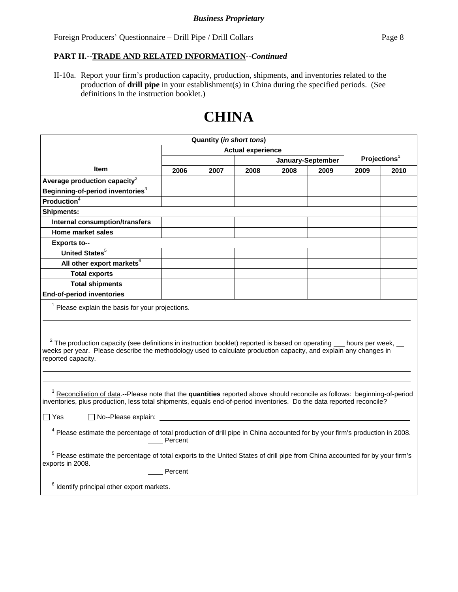### **PART II.--TRADE AND RELATED INFORMATION***--Continued*

II-10a. Report your firm's production capacity, production, shipments, and inventories related to the production of **drill pipe** in your establishment(s) in China during the specified periods. (See definitions in the instruction booklet.)

# **CHINA**

| <b>Quantity (in short tons)</b>                                                                                                                                                                                                                                              |         |      |                          |                   |      |      |                          |
|------------------------------------------------------------------------------------------------------------------------------------------------------------------------------------------------------------------------------------------------------------------------------|---------|------|--------------------------|-------------------|------|------|--------------------------|
|                                                                                                                                                                                                                                                                              |         |      | <b>Actual experience</b> |                   |      |      |                          |
|                                                                                                                                                                                                                                                                              |         |      |                          | January-September |      |      | Projections <sup>1</sup> |
| Item                                                                                                                                                                                                                                                                         | 2006    | 2007 | 2008                     | 2008              | 2009 | 2009 | 2010                     |
| Average production capacity $2$                                                                                                                                                                                                                                              |         |      |                          |                   |      |      |                          |
| Beginning-of-period inventories <sup>3</sup>                                                                                                                                                                                                                                 |         |      |                          |                   |      |      |                          |
| <b>Production</b> <sup>4</sup>                                                                                                                                                                                                                                               |         |      |                          |                   |      |      |                          |
| <b>Shipments:</b>                                                                                                                                                                                                                                                            |         |      |                          |                   |      |      |                          |
| <b>Internal consumption/transfers</b>                                                                                                                                                                                                                                        |         |      |                          |                   |      |      |                          |
| Home market sales                                                                                                                                                                                                                                                            |         |      |                          |                   |      |      |                          |
| <b>Exports to--</b>                                                                                                                                                                                                                                                          |         |      |                          |                   |      |      |                          |
| <b>United States</b> <sup>5</sup>                                                                                                                                                                                                                                            |         |      |                          |                   |      |      |                          |
| All other export markets <sup>6</sup>                                                                                                                                                                                                                                        |         |      |                          |                   |      |      |                          |
| <b>Total exports</b>                                                                                                                                                                                                                                                         |         |      |                          |                   |      |      |                          |
| <b>Total shipments</b>                                                                                                                                                                                                                                                       |         |      |                          |                   |      |      |                          |
| <b>End-of-period inventories</b>                                                                                                                                                                                                                                             |         |      |                          |                   |      |      |                          |
| $1$ Please explain the basis for your projections.                                                                                                                                                                                                                           |         |      |                          |                   |      |      |                          |
| $2$ The production capacity (see definitions in instruction booklet) reported is based on operating $\_\_$ hours per week, $\_\_$<br>weeks per year. Please describe the methodology used to calculate production capacity, and explain any changes in<br>reported capacity. |         |      |                          |                   |      |      |                          |
| <sup>3</sup> Reconciliation of data.--Please note that the quantities reported above should reconcile as follows: beginning-of-period<br>inventories, plus production, less total shipments, equals end-of-period inventories. Do the data reported reconcile?               |         |      |                          |                   |      |      |                          |
| □ No--Please explain: <u>_____________________</u><br>∐ Yes                                                                                                                                                                                                                  |         |      |                          |                   |      |      |                          |
| <sup>4</sup> Please estimate the percentage of total production of drill pipe in China accounted for by your firm's production in 2008.<br>Percent                                                                                                                           |         |      |                          |                   |      |      |                          |
| <sup>5</sup> Please estimate the percentage of total exports to the United States of drill pipe from China accounted for by your firm's<br>exports in 2008.                                                                                                                  |         |      |                          |                   |      |      |                          |
|                                                                                                                                                                                                                                                                              | Percent |      |                          |                   |      |      |                          |
| $6$ Identify principal other export markets.                                                                                                                                                                                                                                 |         |      |                          |                   |      |      |                          |